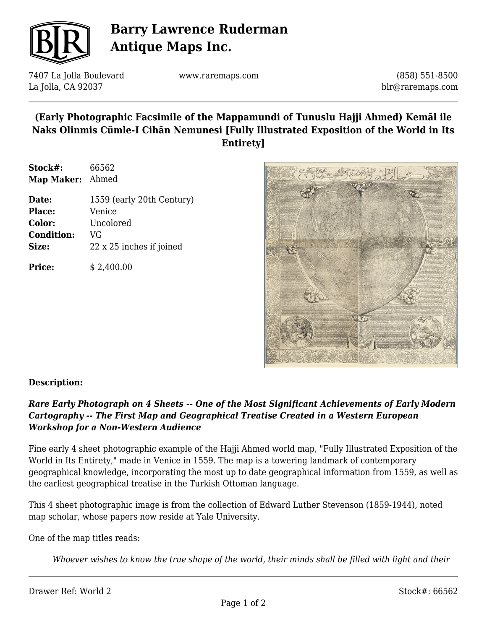

# **Barry Lawrence Ruderman Antique Maps Inc.**

7407 La Jolla Boulevard La Jolla, CA 92037

www.raremaps.com

(858) 551-8500 blr@raremaps.com

### **(Early Photographic Facsimile of the Mappamundi of Tunuslu Hajji Ahmed) Kemãl ile Naks Olinmis Cümle-I Cihãn Nemunesi [Fully Illustrated Exposition of the World in Its Entirety]**

| Stock#:    | 66562 |
|------------|-------|
| Map Maker: | Ahmed |

| Date:             | 1559 (early 20th Century) |
|-------------------|---------------------------|
| <b>Place:</b>     | Venice                    |
| Color:            | Uncolored                 |
| <b>Condition:</b> | VG                        |
| Size:             | 22 x 25 inches if joined  |
|                   |                           |

**Price:**  $$ 2,400.00$ 



### **Description:**

### *Rare Early Photograph on 4 Sheets -- One of the Most Significant Achievements of Early Modern Cartography -- The First Map and Geographical Treatise Created in a Western European Workshop for a Non-Western Audience*

Fine early 4 sheet photographic example of the Hajji Ahmed world map, "Fully Illustrated Exposition of the World in Its Entirety," made in Venice in 1559. The map is a towering landmark of contemporary geographical knowledge, incorporating the most up to date geographical information from 1559, as well as the earliest geographical treatise in the Turkish Ottoman language.

This 4 sheet photographic image is from the collection of Edward Luther Stevenson (1859-1944), noted map scholar, whose papers now reside at Yale University.

One of the map titles reads:

*Whoever wishes to know the true shape of the world, their minds shall be filled with light and their*